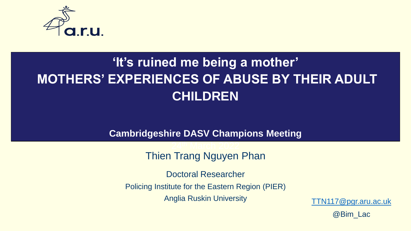

#### **'It's ruined me being a mother' MOTHERS' EXPERIENCES OF ABUSE BY THEIR ADULT CHILDREN**

**Cambridgeshire DASV Champions Meeting**

#### Thien Trang Nguyen Phan

24th March 2022

Doctoral Researcher

Policing Institute for the Eastern Region (PIER)

Anglia Ruskin University [TTN117@pgr.aru.ac.uk](mailto:TTN117@pgr.aru.ac.uk)

@Bim\_Lac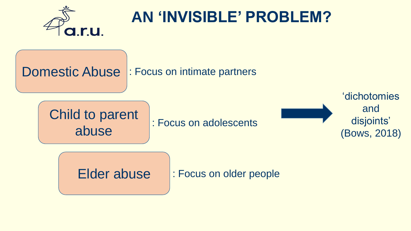

### **AN 'INVISIBLE' PROBLEM?**

Domestic Abuse : Focus on intimate partners

Child to parent abuse : Focus on adolescents

'dichotomies and disjoints' (Bows, 2018)

Elder abuse : Focus on older people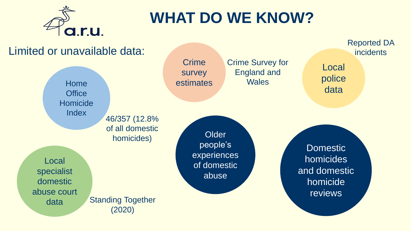

## **WHAT DO WE KNOW?**

#### Limited or unavailable data: **Crime** survey Home estimates **Office Homicide Index** Local specialist domestic abuse court data **Older** people's experiences of domestic abuse Domestic homicides and domestic homicide reviews Local police data Crime Survey for England and **Wales** 46/357 (12.8% of all domestic homicides) Reported DA **incidents** Standing Together (2020)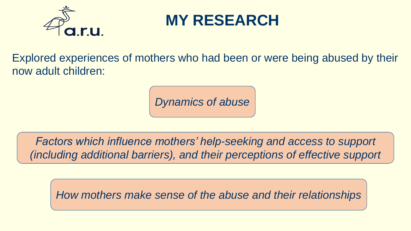

### **MY RESEARCH**

Explored experiences of mothers who had been or were being abused by their now adult children:

*Dynamics of abuse*

*Factors which influence mothers' help-seeking and access to support (including additional barriers), and their perceptions of effective support*

*How mothers make sense of the abuse and their relationships*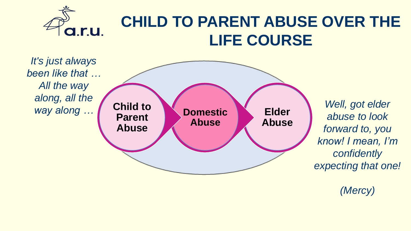

#### **CHILD TO PARENT ABUSE OVER THE LIFE COURSE**



*abuse to look forward to, you know! I mean, I'm confidently expecting that one!* 

*(Mercy)*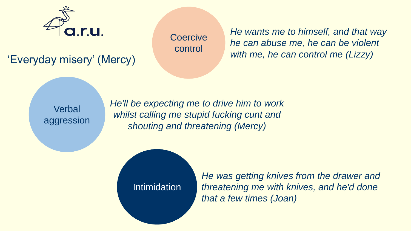

'Everyday misery' (Mercy)

**Coercive** control

*He wants me to himself, and that way he can abuse me, he can be violent with me, he can control me (Lizzy)*

**Verbal** aggression *He'll be expecting me to drive him to work whilst calling me stupid fucking cunt and shouting and threatening (Mercy)*

Intimidation

*He was getting knives from the drawer and threatening me with knives, and he'd done that a few times (Joan)*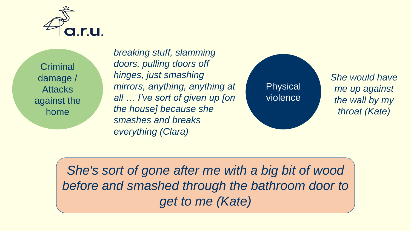

**Criminal** damage / **Attacks** against the home

*breaking stuff, slamming doors, pulling doors off hinges, just smashing mirrors, anything, anything at all … I've sort of given up [on the house] because she smashes and breaks everything (Clara)* 

Physical violence *She would have me up against the wall by my throat (Kate)* 

*She's sort of gone after me with a big bit of wood before and smashed through the bathroom door to get to me (Kate)*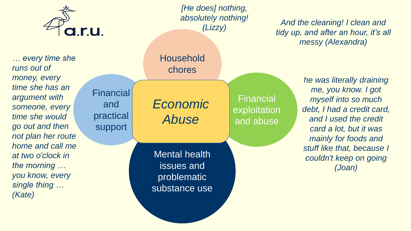

**Financial** 

and

practical

support

*… every time she runs out of money, every time she has an argument with someone, every time she would go out and then not plan her route home and call me at two o'clock in the morning … you know, every single thing … (Kate)* 

*[He does] nothing, absolutely nothing! (Lizzy)*

Financial

exploitation

and abuse

Household chores

*Economic Abuse*

Mental health issues and problematic substance use

*And the cleaning! I clean and tidy up, and after an hour, it's all messy (Alexandra)*

> *he was literally draining me, you know. I got myself into so much debt, I had a credit card, and I used the credit card a lot, but it was mainly for foods and stuff like that, because I couldn't keep on going (Joan)*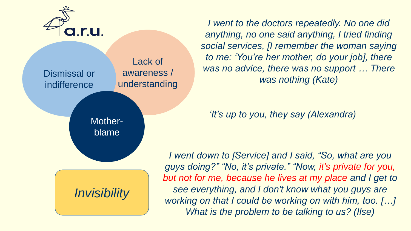

Lack of awareness / understanding Dismissal or indifference

> Motherblame

*Invisibility*

*I went to the doctors repeatedly. No one did anything, no one said anything, I tried finding social services, [I remember the woman saying to me: 'You're her mother, do your job], there was no advice, there was no support … There was nothing (Kate)*

*'It's up to you, they say (Alexandra)*

*I went down to [Service] and I said, "So, what are you guys doing?" "No, it's private." "Now, it's private for you, but not for me, because he lives at my place and I get to see everything, and I don't know what you guys are working on that I could be working on with him, too. […] What is the problem to be talking to us? (Ilse)*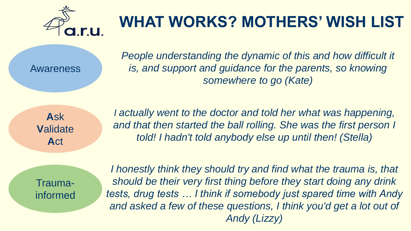

# **WHAT WORKS? MOTHERS' WISH LIST**

Awareness

*People understanding the dynamic of this and how difficult it is, and support and guidance for the parents, so knowing somewhere to go (Kate)* 

**A**sk **V**alidate **A**ct

*I actually went to the doctor and told her what was happening,*  and that then started the ball rolling. She was the first person I *told! I hadn't told anybody else up until then! (Stella)*

Traumainformed

*I honestly think they should try and find what the trauma is, that should be their very first thing before they start doing any drink tests, drug tests … I think if somebody just spared time with Andy*  and asked a few of these questions, I think you'd get a lot out of *Andy (Lizzy)*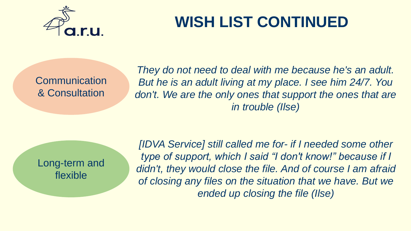

# **WISH LIST CONTINUED**

**Communication** & Consultation

*They do not need to deal with me because he's an adult. But he is an adult living at my place. I see him 24/7. You*  don't. We are the only ones that support the ones that are *in trouble (Ilse)*

Long-term and flexible

*[IDVA Service] still called me for- if I needed some other type of support, which I said "I don't know!" because if I didn't, they would close the file. And of course I am afraid of closing any files on the situation that we have. But we ended up closing the file (Ilse)*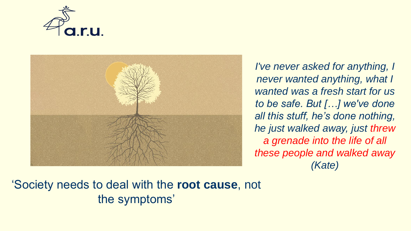



*I've never asked for anything, I never wanted anything, what I wanted was a fresh start for us to be safe. But […] we've done all this stuff, he's done nothing, he just walked away, just threw a grenade into the life of all these people and walked away (Kate)*

#### 'Society needs to deal with the **root cause**, not the symptoms'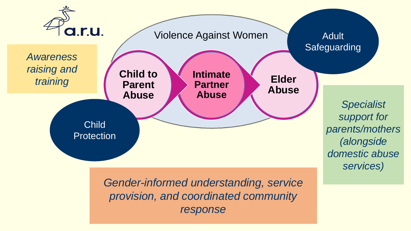

*Gender-informed understanding, service provision, and coordinated community response*